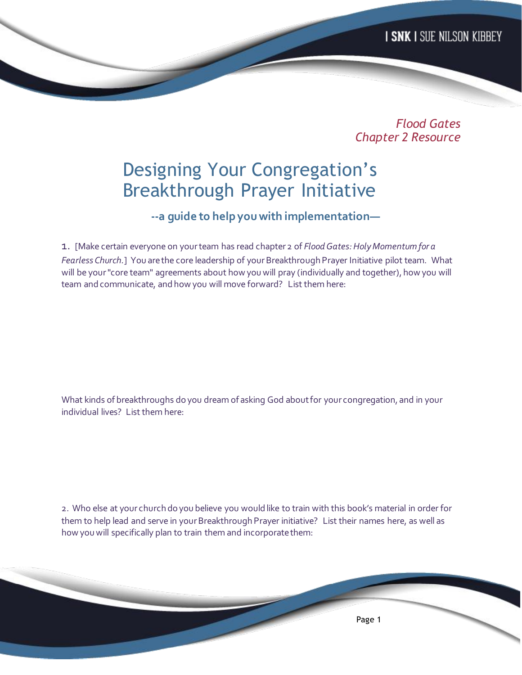*Flood Gates Chapter 2 Resource*

## Designing Your Congregation's Breakthrough Prayer Initiative

 **--a guide to help you with implementation—**

1. [Make certain everyone on your team has read chapter 2 of *Flood Gates: Holy Momentum for a Fearless Church.*]You are the core leadership of your Breakthrough Prayer Initiative pilot team. What will be your "core team" agreements about how you will pray (individually and together), how you will team and communicate, and how you will move forward? List them here:

What kinds of breakthroughs do you dream of asking God about for your congregation, and in your individual lives? List them here:

2. Who else at your church do you believe you would like to train with this book's material in order for them to help lead and serve in your Breakthrough Prayer initiative? List their names here, as well as how you will specifically plan to train them and incorporate them:

Page 1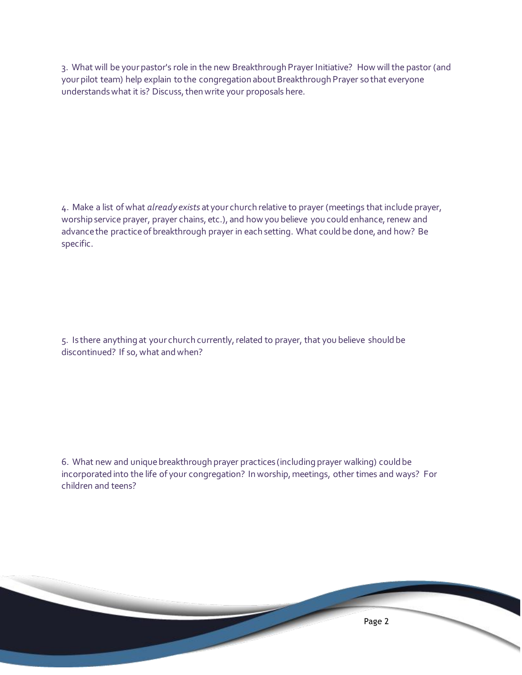3. What will be your pastor's role in the new Breakthrough Prayer Initiative? How will the pastor (and your pilot team) help explain to the congregation about Breakthrough Prayer so that everyone understands what it is? Discuss, then write your proposals here.

4. Make a list of what *already exists* at your church relative to prayer (meetings that include prayer, worship service prayer, prayer chains, etc.), and how you believe you could enhance, renew and advance the practice of breakthrough prayer in each setting. What could be done, and how? Be specific.

5. Is there anything at your church currently, related to prayer, that you believe should be discontinued? If so, what and when?

6. What new and unique breakthrough prayer practices (including prayer walking) could be incorporated into the life of your congregation? In worship, meetings, other times and ways? For children and teens?